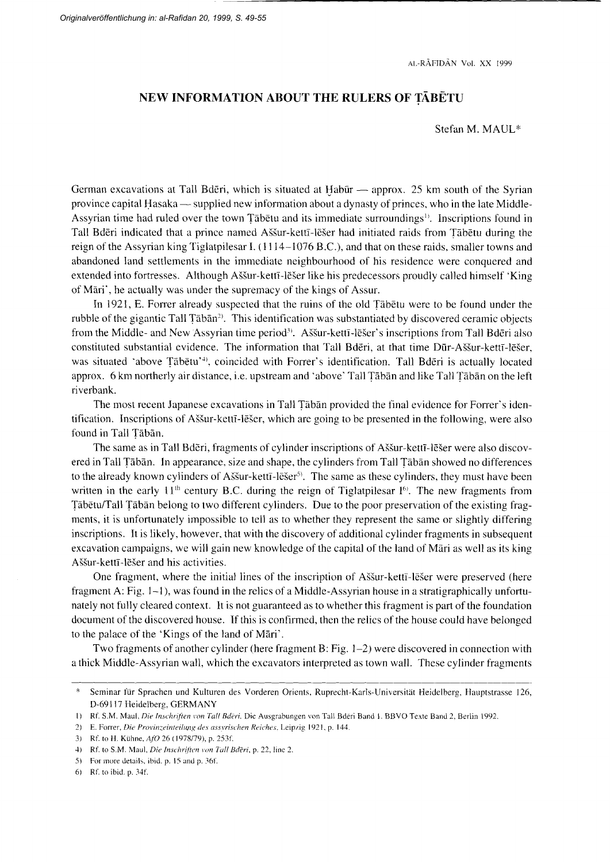AI.-RAFIDÄN VOI. XX I999

## NEW INFORMATION ABOUT THE RULERS OF TABETU

Stefan M. MAUL''

German excavations at Tall Bderi, which is situated at Habūr  $-$  approx. 25 km south of the Syrian province capital Hasaka — supplied new information about a dynasty of princes, who in the late Middle-Assyrian time had ruled over the town Täbetu and its immediate surroundings<sup>1</sup>. Inscriptions found in Tall Bdēri indicated that a prince named Aššur-kettī-lēšer had initiated raids from Tābētu during the reign of the Assyrian king Tiglatpilesar I.  $(1114 - 1076 \text{ B.C.})$ , and that on these raids, smaller towns and abandoned land settlements in the imrnediate neighbourhood of his residence were conquered and extended into fortresses. Although Aššur-kettī-lēšer like his predecessors proudly called himself 'King of Mari', he actually was under the supremacy of the kings of Assur.

In 1921, E. Forrer already suspected that the ruins of the old Tabetu were to be found under the rubble of the gigantic Tall  $\bar{T}$ abān<sup>2)</sup>. This identification was substantiated by discovered ceramic objects from the Middle- and New Assyrian time period<sup>3</sup>. Aššur-kettī-lēšer's inscriptions from Tall Bdēri also constituted substantial evidence. The information that Tall Bderi, at that time Dür-A55ur-kettr-löSer, was situated 'above Tābetu'<sup>4</sup>, coincided with Forrer's identification. Tall Bderi is actually located approx. 6 km northerly air distance, i.e. upstream and 'above' Tall Täbän and like Tall Täbän on the left riverbank.

The most recent Japanese excavations in Tall Täbän provided the final evidence for Foner's identification. Inscriptions of Aššur-kettī-lēšer, which are going to be presented in the following, were also found in Tall Täbän.

The same as in Tall Bderi, fragments of cylinder inscriptions of Aššur-kettī-lešer were also discovered in Tall Tābān. In appearance, size and shape, the cylinders from Tall Tābān showed no differences to the already known cylinders of Aššur-kettī-lēšer<sup>5)</sup>. The same as these cylinders, they must have been written in the early 11<sup>th</sup> century B.C. during the reign of Tiglatpilesar  $I<sup>6</sup>$ . The new fragments from Täbetu/Tall Täbän belong to two different cylinders. Due to the poor preservation of the existing fragments, it is unfortunately impossible to tell as to whether they represent the same or slightly differing inscriptions. It is likely, however, that with the discovery of additional cylinder fragments in subsequent excavation campaigns, we will gain new knowledge of the capital of the land of Märi as well as its king Aššur-kettī-lēšer and his activities.

One fragment, where the initial lines of the inscription of Aššur-kettī-lēšer were preserved (here fragment A: Fig. 1–1), was found in the relics of a Middle-Assyrian house in a stratigraphically unfortunately not fully cleared context. lt is not guaranteed as to whether this fragment is part of the foundation document of the discovered house. If this is confirmed, then the relics of the house could have belonged to the palace of the 'Kings of the land of Märi'.

Two fragments of another cylinder (here fragment B: Fig. l-2) were discovered in connection with a thick Middle-Assyrian wall, which the excavators interpreted as town wall. These cylinder fiagments

<sup>\*</sup> Seminar für Sprachen und Kulturen des Vorderen Orients, Ruprecht-Karls-Universität Heidelberg, Hauptstrasse 126, D-69117 Heidelberg, GERMANY

<sup>1)</sup> Rf. S.M. Maul, Die Inschriften von Tall Bderi. Die Ausgrabungen von Tall Bderi Band 1. BBVO Texte Band 2, Berlin 1992.

<sup>2)</sup> E. Forrer, Die Provinzeinteilung des assyrischen Reiches, Leipzig 1921, p. 144.

<sup>3)</sup> Rf. to H. Kühne, AfO 26 (1978/79), p. 253f.

<sup>4)</sup> Rf. to S.M. Maul, Die Inschriften von Tall Bderi, p. 22, line 2.

<sup>5)</sup> For more details, ibid. p. 15 and p. 36f.

<sup>6)</sup> Rf. to ibid. p.  $34f$ .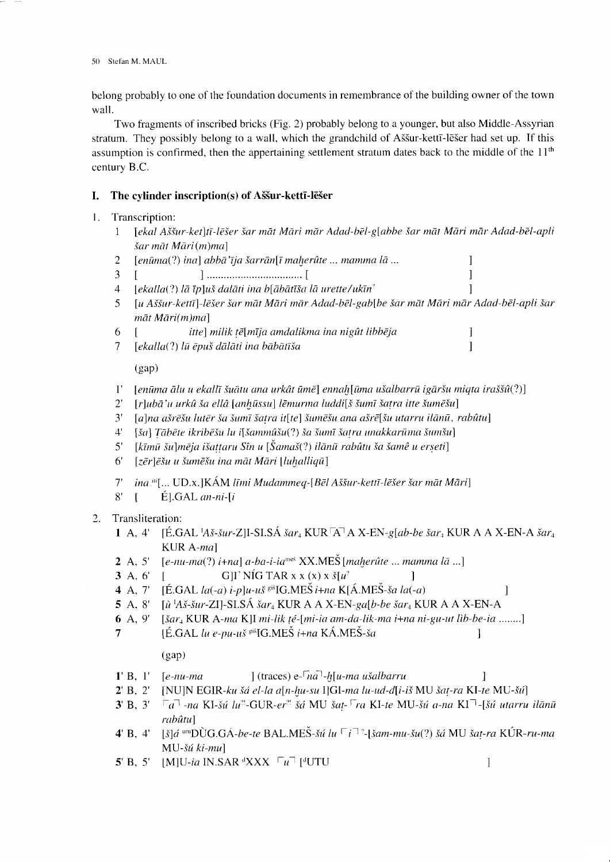belong probably to one of the foundation documents in rernembrance of the building owner of the town wall.

Two fragments of inscribed bricks (Fig. 2) probably belong to a younger, but also Middle-Assyrian stratum. They possibly belong to a wall, which the grandchild of A55ur-kettT-löSer had set up. If this assumption is confirmed, then the appertaining settlement stratum dates back to the middle of the  $11<sup>th</sup>$ century B.C.

# I. The cylinder inscription(s) of Aššur-kettī-lēšer

- l. Transcription:
	- 1 [ekal Aššur-ket]tī-lēšer šar māt Māri mār Adad-bēl-g[abbe šar māt Māri mār Adad-bēl-apli  $\xi$ ar māt Māri $(m)$ ma]
	- 2 fenüma(?) inal abba'tja ierrunft maherüte ... mamma \a... l
	-
	- 3 t 1............ t l  $\lceil$ ekalla(?) lā īp]uš dalāti ina b $\lceil$ ābātīša lā urette/ukīn<sup>?</sup>
	- 5 [u Aššur-kettī]-lēšer šar māt Māri mār Adad-bēl-gab[be šar māt Māri mār Adad-bēl-apli šar mat Mari(m)mal
	- 6  $[$  itte] milik tē[mīja amdalikma ina nigût libbēja  $\begin{bmatrix} 7 & \text{[ekalla(?)}\end{bmatrix}$  lū ēpuš dālāti ina bābātīša  $]$
	- $7$  [ekalla(?) lū ēpuš dālāti ina bābātīša

(gap)

- $1'$  [enūma ālu u ekallī šuātu ana urkât ūmē] ennah[ūma ušalbarrū igāršu miqta iraššû $(?)$ ]
- $2'$  [r]ubā'u urkû ša ellâ [anhūssu] lēmurma luddi[š šumī šatra itte šumēšu]
- $3'$  [a]na ašrēšu lutēr ša šumī šatra it[te] šumēšu ana ašrē[šu utarru ilānū, rabûtu]
- $4'$  [ša] Tābēte ikribēšu lu i[šammûšu(?) ša šumī šatra unakkarūma šumšu]
- $5'$  [kīmū šu]mēja išattaru Sîn u [Šamaš(?) ilānū rabûtu ša šamê u erseti]
- $6'$  [zēr]ēšu u šumēšu ina māt Māri [luhalliqū]
- $T$  ina  $\omega$ [... UD.x.]KÁM līmi Mudammeq-[Bēl Aššur-kettī-lēšer šar māt Māri]
- $8'$  [ E].GAL an-ni-[i]
- 2. Transliteration:
	- 1 A, 4' [É.GAL  $A$ š-šur-Z]I-SI.SÁ šar<sub>4</sub> KUR  $A$ <sup>T</sup> A X-EN-g[ab-be šar<sub>4</sub> KUR A A X-EN-A šar<sub>4</sub> KUR  $A$ -ma]
	- 2 A, 5'  $[e-\nu \cdot ma(?) \cdot i+\nu a] \cdot a-ba-i-a^{\text{mes}}$  XX.MES [maherûte ... mamma la ...]
	-
	- 3 A, 6' [ G]I' NÍG TAR x x (x) x  $\check{s}[u^2]$  ]<br>4 A, 7' [É.GAL *la*(-*a*) *i*-*p*]*u*-*uš*<sup> $g$ iš</sup>IG.MEŠ *i*+*na* K[Á.MEŠ-*ša la*(- $[\hat{E}.GAL \, la(-a) \, i-p]u-u\check{s} \, \epsilon^{i\check{s}}IG.ME\check{S} \, i+n\alpha \, K[\hat{A}.ME\check{S}-\check{s}a \, la(-a)$  |
	- 5 A, 8' [ $\hat{u}$  'Aš-šur-ZI]-SI.SÁ šar<sub>4</sub> KUR A A X-EN-ga[b-be šar<sub>4</sub> KUR A A X-EN-A
	- 6 A, 9' [ $\delta$ ar<sub>1</sub> KUR A-ma K]I mi-lik  $t \acute{e}$ -[mi-ia am-da-lik-ma i+na ni-gu-ut lib-be-ia .......]
	- 7 IE.GAL  $\mu$  e-pu-uš si $IG.ME\dot{S}$  i+na KÁ.MES-ša l

 $(gap)$ 

- $1' B$ ,  $1'$   $\lceil e\text{-}nu\text{-}ma \rceil$   $\lceil (traces) e\text{-}na \rceil$ -h $\lceil u\text{-}ma u \rceil$   $\lceil (uncos) e\text{-}na \rceil$
- 2' B, 2' [NU]N EGIR-ku šá el-la a[n-hu-su I]GI-ma lu-ud-d[i-iš MU šat-ra KI-te MU-šú]
- $3'$  B,  $3'$   $\lceil a \rceil$ -na KI-šú lu<sup>n</sup>-GUR-er<sup>n</sup> šá MU šat- $\lceil ra \rceil$ KI-te MU-šú a-na KI $\lceil \lceil \cdot | \rceil$ šú utarru ilānū rabûtul
- 4' B, 4' [š] $\vec{a}$  und DÙG.GA-be-te BAL.MES-šú lu  $\lceil i \rceil^2$ -[šam-mu-šu(?) šá MU šat-ra KÚR-ru-ma MU-šú ki-mu]
- 5' B, 5' [M]U-ia IN.SAR  ${}^d$ XXX  $\ulcorner u \urcorner$  [ ${}^d$ UTU ]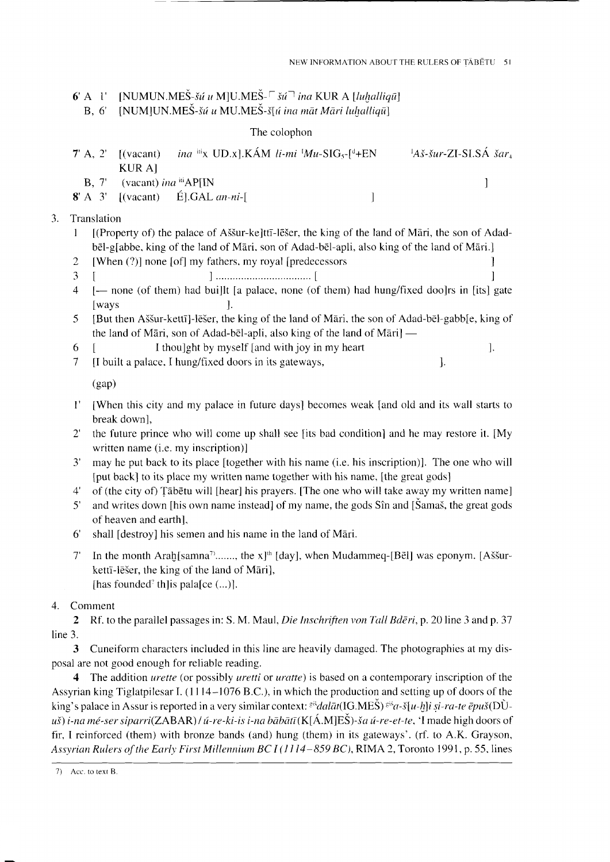$\mathbf{I}$ 

6' A  $l'$  [NUMUN.MES- $\delta u$  *u* M[U.MES- $\delta u$ <sup>7</sup> *ina* KUR A [*luhalliqu*]

B, 6' [NUM]UN.MEŠ-šú u MU.MEŠ-š[ú ina māt Māri luhalliqū]

## The colophon

| 7' A, 2' $[(vacant)$ ina $\text{iii} \times \text{UD} \times ]$ . KÁM li-mi $Mu$ -SIG <sub>5</sub> - $\text{f}^d$ +EN<br>-KUR A1 | $A\check{\delta}$ -šur-ZI-SI.SÁ šar |
|----------------------------------------------------------------------------------------------------------------------------------|-------------------------------------|
| B, 7' (vacant) <i>ina</i> <sup>iti</sup> AP[IN]                                                                                  |                                     |
| $\mathbf{8}^{\prime}$ A $\mathbf{3}^{\prime}$ [(vacant) E.GAL an-ni-[                                                            |                                     |

#### $3.$ Translation

- [(Property of) the palace of Aššur-ke]ttī-lēšer, the king of the land of Māri, the son of Adad- $\mathbf{1}$  $b\bar{e}$ l-glabbe, king of the land of Māri, son of Adad-bēl-apli, also king of the land of Māri.]
- [When (?)] none [of] my fathers, my royal [predecessors] 2
- $\overline{3}$
- [- none (of them) had buillt [a palace, none (of them) had hung/fixed doo]rs in [its] gate  $\overline{4}$  $\sqrt{\frac{2}{x}}$ 1.
- [But then Aššur-kettī]-lēšer, the king of the land of Māri, the son of Adad-bēl-gabb[e, king of  $5^{\circ}$ the land of Māri, son of Adad-bēl-apli, also king of the land of Māri] —
- I thoulght by myself [and with joy in my heart]  $\cdot$ 6
- $\overline{7}$ [I built a palace, I hung/fixed doors in its gateways,  $\cdot$

 $(gap)$ 

- 1' [When this city and my palace in future days] becomes weak [and old and its wall starts to break down],
- 2' the future prince who will come up shall see [its bad condition] and he may restore it. [My written name (i.e. my inscription)]
- $3'$ may he put back to its place [together with his name (i.e. his inscription)]. The one who will [put back] to its place my written name together with his name, [the great gods]
- of (the city of) Tābētu will [hear] his prayers. [The one who will take away my written name]  $4^{\circ}$
- and writes down [his own name instead] of my name, the gods Sîn and [Samas, the great gods  $5^{\circ}$ of heaven and earth],
- 6 shall [destroy] his semen and his name in the land of Māri.
- In the month Arah[samna<sup>7</sup>......., the x]<sup>th</sup> [day], when Mudammeq-[BeI] was eponym. [Aššur- $7^{\circ}$ kettī-lēšer, the king of the land of Māri], [has founded? th] is pala [ce  $(...)$ ].

### Comment  $4.$

2 Rf. to the parallel passages in: S. M. Maul, Die Inschriften von Tall Bderi, p. 20 line 3 and p. 37 line 3.

3 Cuneiform characters included in this line are heavily damaged. The photographies at my disposal are not good enough for reliable reading.

4 The addition *urette* (or possibly *uretti* or *uratte*) is based on a contemporary inscription of the Assyrian king Tiglatpilesar I.  $(1114-1076 \text{ B.C.})$ , in which the production and setting up of doors of the king's palace in Assur is reported in a very similar context:  $e^{i\xi}da\bar{a}t(\text{IG.ME}\hat{\text{S}})$   $e^{i\xi}a - \xi[u-h]$  is  $i-ra-te$   $\bar{e}pu\xi(D\hat{U}-\hat{u})$ uš) i-na mé-ser siparri(ZABAR) / ú-re-ki-is i-na bābātī (K[Á.M]ES)-ša ú-re-et-te, 'I made high doors of fir, I reinforced (them) with bronze bands (and) hung (them) in its gateways'. (rf. to A.K. Grayson, Assyrian Rulers of the Early First Millennium BC I (1114–859 BC), RIMA 2, Toronto 1991, p. 55, lines

<sup>7)</sup> Acc. to text B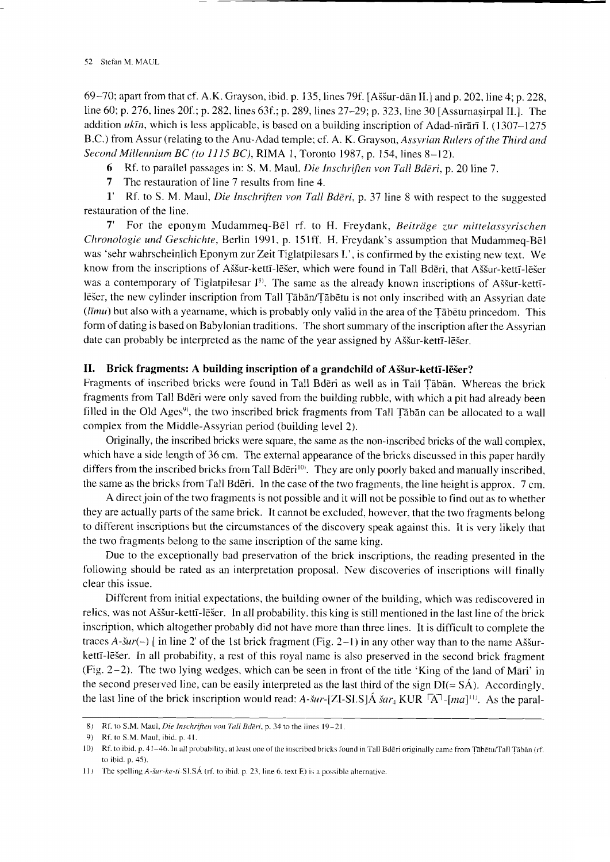69-70;apartfromthatcf.A.K.Grayson,ibid.p. 135,lines79f. [A55ur-dänII.] and p.202,line4; p.228, line 60; p. 276, lines 20f.; p. 282, lines 63f.; p. 289, lines 27-29; p. 323, line 30 [Assurnasirpal II.]. The addition  $uk\bar{u}$ , which is less applicable, is based on a building inscription of Adad-nrrān I. (1307–1275) B.C.) from Assur (relating to the Anu-Adad temple; cf. A. K. Grayson, Assyrian Rulers of the Third and Second Millennium BC (to  $1115$  BC), RIMA 1, Toronto 1987, p. 154, lines 8-12).

6 Rf. to parallel passages in: S. M. Maul. Die Inschriften von Tall Bderi, p. 20 line 7.

7 The restauration of line 7 results from line 4.

1' Rf. to S. M. Maul, Die Inschriften von Tall Bderi, p. 37 line 8 with respect to the suggested restauration of the line.

7' For the eponym Mudammeq-Bēl rf. to H. Freydank, Beiträge zur mittelassyrischen Chronologie und Geschichte, Berlin 1991, p. 151ff. H. Freydank's assumption that Mudammeq-Bel was 'sehr wahrscheinlich Eponym zur Zeit Tiglatpilesars I.', is confirmed by the existing new text. We know from the inscriptions of Aššur-kettī-lēšer, which were found in Tall Bdēri, that Aššur-kettī-lēšer was a contemporary of Tiglatpilesar  $I^{s}$ ). The same as the already known inscriptions of Aššur-kettīlēšer, the new cylinder inscription from Tall Tābān/Tābētu is not only inscribed with an Assyrian date  $(i\bar{m}u)$  but also with a yearname, which is probably only valid in the area of the Tābetu princedom. This form of dating is based on Babylonian traditions. The short summary of the inscription after the Assyrian date can probably be interpreted as the name of the year assigned by Aššur-kettī-lēšer.

### II. Brick fragments: A building inscription of a grandchild of A55ur-kettr-leSer?

Fragments of inscribed bricks were found in Tall Bdöri as well as in Tall Täbän. Whereas the brick fragments from Tall Bdöri were only saved from the building rubble, with which a pit had already been filled in the Old Ages<sup>9</sup>, the two inscribed brick fragments from Tall Tābān can be allocated to a wall complex from the Middle-Assyrian period (building level 2).

Originally, the inscribed bricks were square, the same as the non-inscribed bricks of the wall complex, which have a side length of 36 cm. The external appearance of the bricks discussed in this paper hardly differs from the inscribed bricks from Tall Bderi<sup>10)</sup>. They are only poorly baked and manually inscribed, the same as the bricks from Tall Bdöri. ln the case of the two fragrnents, the line height is approx. 7 cm.

A direct join of the two fragments is not possible and it will not be possible to find out as to whether they are actually parts of the same brick. It cannot be excluded, however, that the two fragments belong to different inscriptions but the circumstances of the discovery speak against his. It is very likely that the two fragments belong to the same inscription of the same king.

Due to the exceptionally bad preservation of the brick inscriptions, the reading presented in the following should be rated as an interpretation proposal. New discoveries of inscriptions will finally clear this issue.

Different from initial expectations, the building owner of the building, which was rediscovered in relics, was not A55ur-kettr-löSer. ln all probability, this king is still mentioned in the last line of the brick inscription, which altogether probably did not have more than three lines. It is difficult to complete the traces A- $\text{S}ur(-)$  [ in line 2' of the 1st brick fragment (Fig. 2–1) in any other way than to the name Assurkettī-lēšer. In all probability, a rest of this royal name is also preserved in the second brick fragment (Fig.  $2-2$ ). The two lying wedges, which can be seen in front of the title 'King of the land of Mari' in the second preserved line, can be easily interpreted as the last third of the sign  $DI(= S\hat{A})$ . Accordingly, the last line of the brick inscription would read:  $A$ - $\delta u r$ -[ZI-SI.S] $\dot{A} \dot{\delta} a r_4$  KUR  $\bar{A}$ -[ma]<sup>111</sup>. As the paral-

<sup>8)</sup> Rf. to S.M. Maul, *Die Inschriften von Tall Bdēri*, p. 34 to the lines  $19-21$ .

<sup>9)</sup> Rf. to S.M. Maul, ibid. p..{1.

l0) Rf. to ibid. p. 41–46. In all probability, at least one of the inscribed bricks found in Tall Bdēri originally came from Tābētu/Tall Tābān (rf to ibid.  $p. 45$ ).

<sup>11)</sup> The spelling  $A$ -šur-ke-ti-SLSÁ (rf. to ibid. p. 23, line 6, text E) is a possible alternative.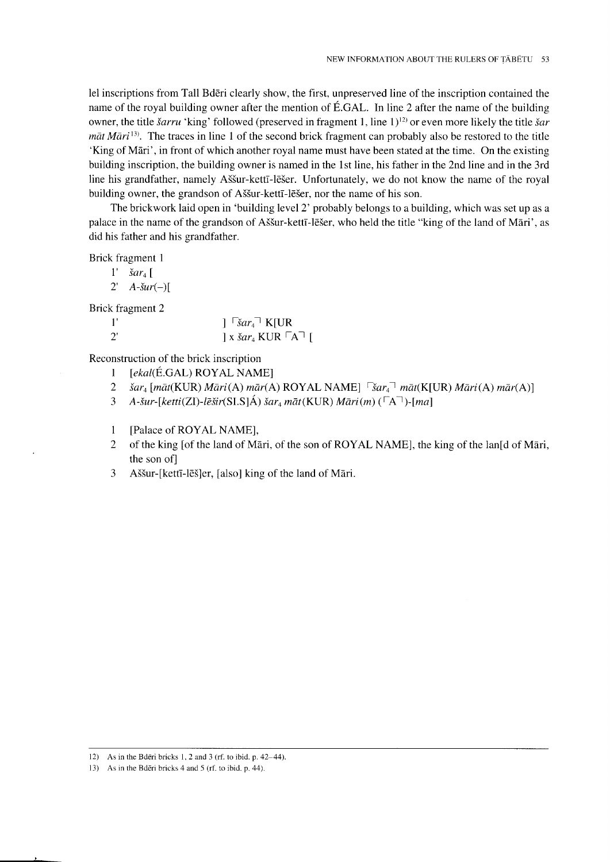lel inscriptions from Tall Bdöri clearly show, the first, unpreserved line of the inscription contained the name of the royal building owner after the mention of É.GAL. In line 2 after the name of the building owner, the title *šarru* 'king' followed (preserved in fragment 1, line 1)<sup>12</sup> or even more likely the title *šar*  $m\bar{a}t$  M $\bar{a}r$ <sup>13)</sup>. The traces in line 1 of the second brick fragment can probably also be restored to the title 'King of Märi', in front of which another royal name must have been stated at the time. On the existing building inscription, the building owner is named in the 1st line, his father in the 2nd line and in the 3rd line his grandfather, namely Aššur-kettī-lēšer. Unfortunately, we do not know the name of the royal building owner, the grandson of Aššur-kettī-lēšer, nor the name of his son.

The brickwork laid open in 'building level 2' probably belongs to a building, which was set up as a palace in the name of the grandson of Aššur-kettī-lēšer, who held the title "king of the land of Māri', as did his father and his grandfather.

Brick fragment I

- $i$  *šar*<sub>4</sub> [
- $2'$   $A$ - $\frac{\xi u r(-)}{\xi}$

Brick fragment 2

| $\mathbf{1}$ |                                                         |
|--------------|---------------------------------------------------------|
| $2^{\prime}$ | $\vert x \rangle$ X $\chi$ $\chi$ KUR $\vert A \vert$ [ |

Reconstruction of the brick inscription

- 1 *[ekal*(É.GAL) ROYAL NAME]<br>2 *šar<sub>4</sub>* [māt(KUR) Māri(A) mār(A
- 2 *šar*<sub>4</sub> [māt(KUR) Māri(A) mār(A) ROYAL NAME]  $\lceil \xi ar_4 \rceil$  māt(K[UR) Māri(A) mār(A)]<br>3 A-šur-[ketti(ZI)-lēšir(SI.S1Á) šar<sub>4</sub> māt(KUR) Māri(m) ( $\lceil A \rceil$ )-[ma]
- $A$ -šur-[ketti(ZI)-lēšir(SI.S]Á) šar<sub>4</sub> māt(KUR) Māri(m) ( $\lceil A \rceil$ )-[ma]
- 1 [Palace of ROYAL NAME],<br>2 of the king [of the land of Ma
- of the king [of the land of Māri, of the son of ROYAL NAME], the king of the lan[d of Māri, the son of
- 3 A55ur-[kettr-lö5]er, [also] king of the land of Märi.

<sup>12)</sup> As in the Bderi bricks 1, 2 and 3 (rf. to ibid. p.  $42-44$ ).

<sup>13)</sup> As in the Bdēri bricks 4 and 5 (rf. to ibid. p. 44).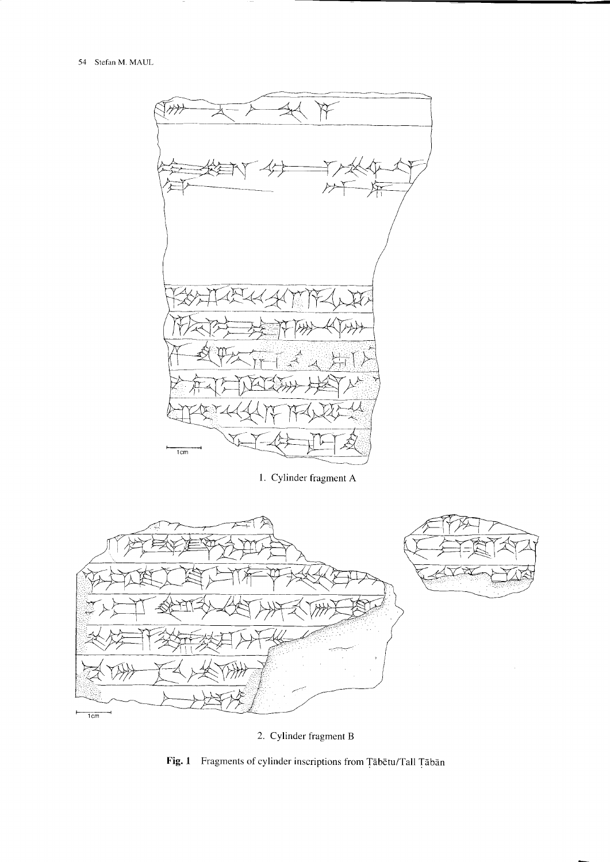

1. Cylinder fragment A



2. Cylinder fragment B

Fig. 1 Fragments of cylinder inscriptions from Tābētu/Tall Tābān